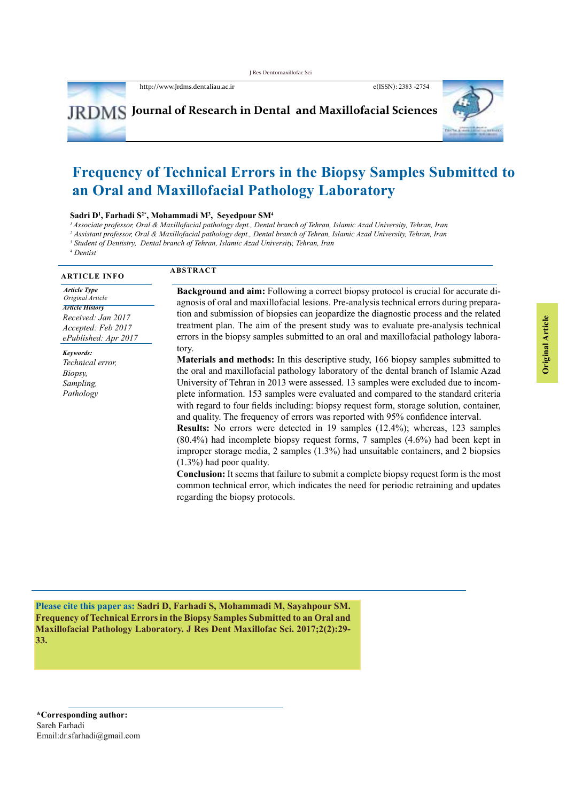http://www.Jrdms.dentaliau.ac.ir e(ISSN): 2383 -2754



# **Frequency of Technical Errors in the Biopsy Samples Submitted to an Oral and Maxillofacial Pathology Laboratory**

#### **Sadri D1 , Farhadi S2\*, Mohammadi M3 , Seyedpour SM4**

*1Associate professor, Oral & Maxillofacial pathology dept., Dental branch of Tehran, Islamic Azad University, Tehran, Iran*

*2 Assistant professor, Oral & Maxillofacial pathology dept., Dental branch of Tehran, Islamic Azad University, Tehran, Iran*

*3 Student of Dentistry, Dental branch of Tehran, Islamic Azad University, Tehran, Iran*

*4 Dentist*

#### **ABSTRACT ARTICLE INFO** *Article Type Original Article Article History Received: Jan 2017 Accepted: Feb 2017 ePublished: Apr 2017 Keywords: Technical error, Biopsy, Sampling, Pathology* **Background and aim:** Following a correct biopsy protocol is crucial for accurate diagnosis of oral and maxillofacial lesions. Pre-analysis technical errors during preparation and submission of biopsies can jeopardize the diagnostic process and the related treatment plan. The aim of the present study was to evaluate pre-analysis technical errors in the biopsy samples submitted to an oral and maxillofacial pathology laboratory. **Materials and methods:** In this descriptive study, 166 biopsy samples submitted to the oral and maxillofacial pathology laboratory of the dental branch of Islamic Azad University of Tehran in 2013 were assessed. 13 samples were excluded due to incomplete information. 153 samples were evaluated and compared to the standard criteria with regard to four fields including: biopsy request form, storage solution, container, and quality. The frequency of errors was reported with 95% confidence interval. **Results:** No errors were detected in 19 samples (12.4%); whereas, 123 samples (80.4%) had incomplete biopsy request forms, 7 samples (4.6%) had been kept in improper storage media, 2 samples (1.3%) had unsuitable containers, and 2 biopsies (1.3%) had poor quality. **Conclusion:** It seems that failure to submit a complete biopsy request form is the most common technical error, which indicates the need for periodic retraining and updates

**Please cite this paper as: Sadri D, Farhadi S, Mohammadi M, Sayahpour SM. Frequency of Technical Errors in the Biopsy Samples Submitted to an Oral and Maxillofacial Pathology Laboratory. J Res Dent Maxillofac Sci. 2017;2(2):29- 33.**

regarding the biopsy protocols.

**\*Corresponding author:**  Sareh Farhadi Email:dr.sfarhadi@gmail.com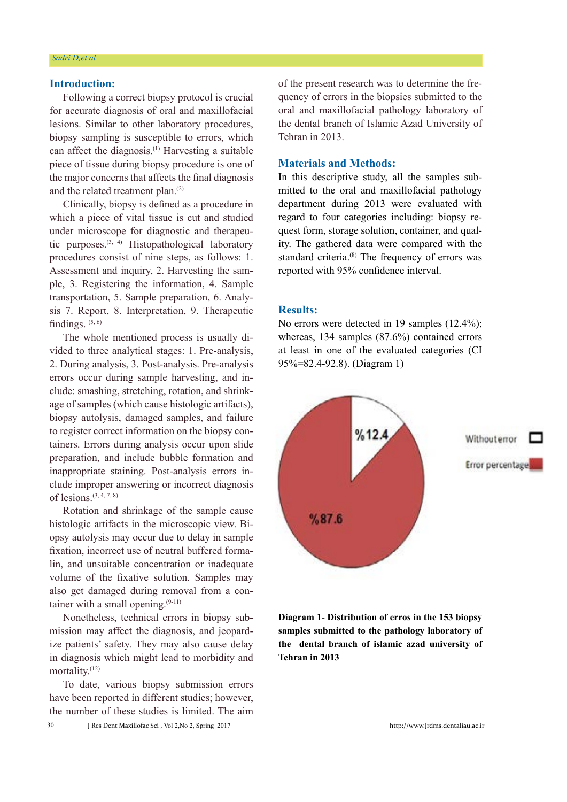### **Introduction:**

Following a correct biopsy protocol is crucial for accurate diagnosis of oral and maxillofacial lesions. Similar to other laboratory procedures, biopsy sampling is susceptible to errors, which can affect the diagnosis.(1) Harvesting a suitable piece of tissue during biopsy procedure is one of the major concerns that affects the final diagnosis and the related treatment plan.(2)

Clinically, biopsy is defined as a procedure in which a piece of vital tissue is cut and studied under microscope for diagnostic and therapeutic purposes.<sup>(3, 4)</sup> Histopathological laboratory procedures consist of nine steps, as follows: 1. Assessment and inquiry, 2. Harvesting the sample, 3. Registering the information, 4. Sample transportation, 5. Sample preparation, 6. Analysis 7. Report, 8. Interpretation, 9. Therapeutic findings.  $(5, 6)$ 

The whole mentioned process is usually divided to three analytical stages: 1. Pre-analysis, 2. During analysis, 3. Post-analysis. Pre-analysis errors occur during sample harvesting, and include: smashing, stretching, rotation, and shrinkage of samples (which cause histologic artifacts), biopsy autolysis, damaged samples, and failure to register correct information on the biopsy containers. Errors during analysis occur upon slide preparation, and include bubble formation and inappropriate staining. Post-analysis errors include improper answering or incorrect diagnosis of lesions.  $(3, 4, 7, 8)$ 

Rotation and shrinkage of the sample cause histologic artifacts in the microscopic view. Biopsy autolysis may occur due to delay in sample fixation, incorrect use of neutral buffered formalin, and unsuitable concentration or inadequate volume of the fixative solution. Samples may also get damaged during removal from a container with a small opening. $(9-11)$ 

Nonetheless, technical errors in biopsy submission may affect the diagnosis, and jeopardize patients' safety. They may also cause delay in diagnosis which might lead to morbidity and mortality.(12)

To date, various biopsy submission errors have been reported in different studies; however, the number of these studies is limited. The aim

of the present research was to determine the frequency of errors in the biopsies submitted to the oral and maxillofacial pathology laboratory of the dental branch of Islamic Azad University of Tehran in 2013.

#### **Materials and Methods:**

In this descriptive study, all the samples submitted to the oral and maxillofacial pathology department during 2013 were evaluated with regard to four categories including: biopsy request form, storage solution, container, and quality. The gathered data were compared with the standard criteria.<sup>(8)</sup> The frequency of errors was reported with 95% confidence interval.

### **Results:**

No errors were detected in 19 samples (12.4%); whereas, 134 samples (87.6%) contained errors at least in one of the evaluated categories (CI 95%=82.4-92.8). (Diagram 1)



**Diagram 1- Distribution of erros in the 153 biopsy samples submitted to the pathology laboratory of the dental branch of islamic azad university of Tehran in 2013**

 $\overline{30}$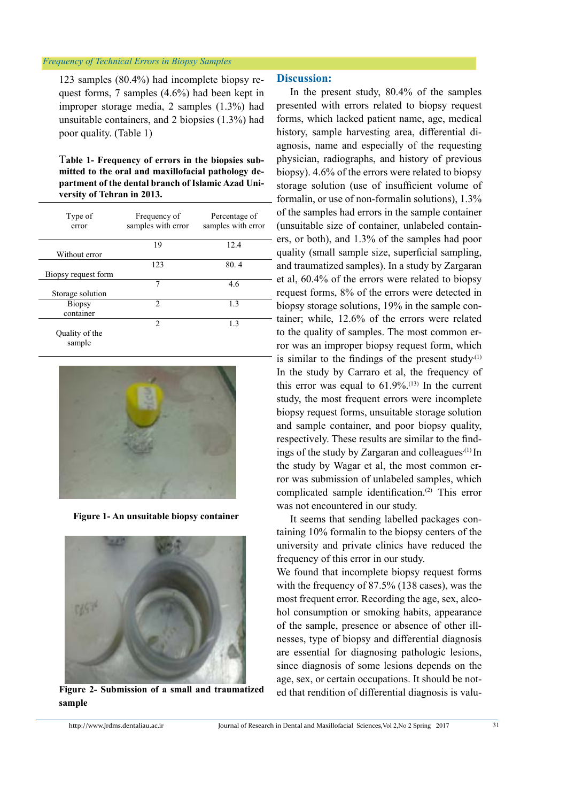#### *Frequency of Technical Errors in Biopsy Samples*

123 samples (80.4%) had incomplete biopsy request forms, 7 samples (4.6%) had been kept in improper storage media, 2 samples (1.3%) had unsuitable containers, and 2 biopsies (1.3%) had poor quality. (Table 1)

T**able 1- Frequency of errors in the biopsies submitted to the oral and maxillofacial pathology department of the dental branch of Islamic Azad University of Tehran in 2013.**

| Type of<br>error    | Frequency of<br>samples with error | Percentage of<br>samples with error |
|---------------------|------------------------------------|-------------------------------------|
|                     | 19                                 | 12.4                                |
| Without error       |                                    |                                     |
|                     | 123                                | 80.4                                |
| Biopsy request form |                                    |                                     |
|                     | 7                                  | 4.6                                 |
| Storage solution    |                                    |                                     |
| <b>Biopsy</b>       | $\mathfrak{D}$                     | 1.3                                 |
| container           |                                    |                                     |
|                     | $\mathfrak{D}$                     | 1.3                                 |
| Quality of the      |                                    |                                     |
| sample              |                                    |                                     |



 **Figure 1- An unsuitable biopsy container**



**Figure 2- Submission of a small and traumatized sample**

#### **Discussion:**

In the present study, 80.4% of the samples presented with errors related to biopsy request forms, which lacked patient name, age, medical history, sample harvesting area, differential diagnosis, name and especially of the requesting physician, radiographs, and history of previous biopsy). 4.6% of the errors were related to biopsy storage solution (use of insufficient volume of formalin, or use of non-formalin solutions), 1.3% of the samples had errors in the sample container (unsuitable size of container, unlabeled containers, or both), and 1.3% of the samples had poor quality (small sample size, superficial sampling, and traumatized samples). In a study by Zargaran et al, 60.4% of the errors were related to biopsy request forms, 8% of the errors were detected in biopsy storage solutions, 19% in the sample container; while, 12.6% of the errors were related to the quality of samples. The most common error was an improper biopsy request form, which is similar to the findings of the present study. $(1)$ In the study by Carraro et al, the frequency of this error was equal to  $61.9\%$ <sup>(13)</sup> In the current study, the most frequent errors were incomplete biopsy request forms, unsuitable storage solution and sample container, and poor biopsy quality, respectively. These results are similar to the findings of the study by Zargaran and colleagues.<sup>(1)</sup> In the study by Wagar et al, the most common error was submission of unlabeled samples, which complicated sample identification.(2) This error was not encountered in our study.

It seems that sending labelled packages containing 10% formalin to the biopsy centers of the university and private clinics have reduced the frequency of this error in our study.

We found that incomplete biopsy request forms with the frequency of 87.5% (138 cases), was the most frequent error. Recording the age, sex, alcohol consumption or smoking habits, appearance of the sample, presence or absence of other illnesses, type of biopsy and differential diagnosis are essential for diagnosing pathologic lesions, since diagnosis of some lesions depends on the age, sex, or certain occupations. It should be noted that rendition of differential diagnosis is valu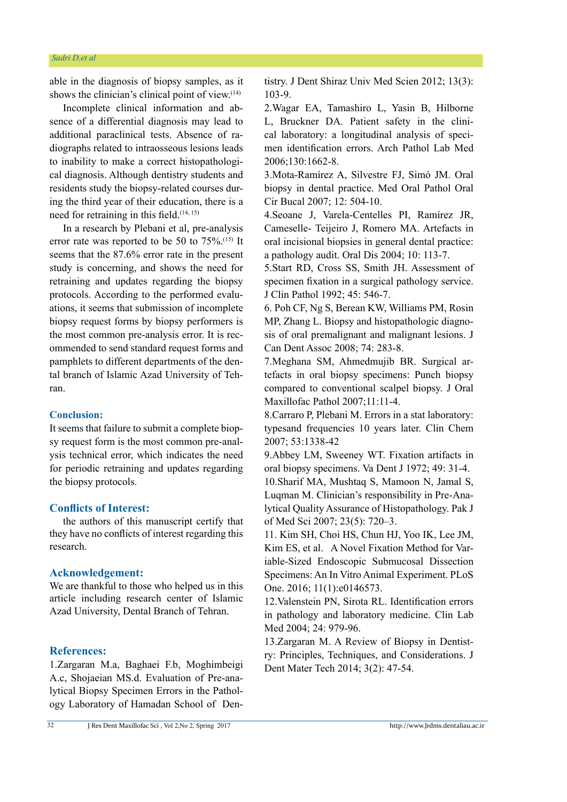able in the diagnosis of biopsy samples, as it shows the clinician's clinical point of view. $(14)$ 

Incomplete clinical information and absence of a differential diagnosis may lead to additional paraclinical tests. Absence of radiographs related to intraosseous lesions leads to inability to make a correct histopathological diagnosis. Although dentistry students and residents study the biopsy-related courses during the third year of their education, there is a need for retraining in this field. $(14, 15)$ 

In a research by Plebani et al, pre-analysis error rate was reported to be 50 to 75%.(15) It seems that the 87.6% error rate in the present study is concerning, and shows the need for retraining and updates regarding the biopsy protocols. According to the performed evaluations, it seems that submission of incomplete biopsy request forms by biopsy performers is the most common pre-analysis error. It is recommended to send standard request forms and pamphlets to different departments of the dental branch of Islamic Azad University of Tehran.

#### **Conclusion:**

It seems that failure to submit a complete biopsy request form is the most common pre-analysis technical error, which indicates the need for periodic retraining and updates regarding the biopsy protocols.

### **Conflicts of Interest:**

the authors of this manuscript certify that they have no conflicts of interest regarding this research.

#### **Acknowledgement:**

We are thankful to those who helped us in this article including research center of Islamic Azad University, Dental Branch of Tehran.

## **References:**

1.Zargaran M.a, Baghaei F.b, Moghimbeigi A.c, Shojaeian MS.d. Evaluation of Pre-analytical Biopsy Specimen Errors in the Pathology Laboratory of Hamadan School of Dentistry. J Dent Shiraz Univ Med Scien 2012; 13(3): 103-9.

2.Wagar EA, Tamashiro L, Yasin B, Hilborne L, Bruckner DA. Patient safety in the clinical laboratory: a longitudinal analysis of specimen identification errors. Arch Pathol Lab Med 2006;130:1662-8.

3.Mota-Ramírez A, Silvestre FJ, Simó JM. Oral biopsy in dental practice. Med Oral Pathol Oral Cir Bucal 2007; 12: 504-10.

4.Seoane J, Varela-Centelles PI, Ramírez JR, Cameselle- Teijeiro J, Romero MA. Artefacts in oral incisional biopsies in general dental practice: a pathology audit. Oral Dis 2004; 10: 113-7.

5.Start RD, Cross SS, Smith JH. Assessment of specimen fixation in a surgical pathology service. J Clin Pathol 1992; 45: 546-7.

6. Poh CF, Ng S, Berean KW, Williams PM, Rosin MP, Zhang L. Biopsy and histopathologic diagnosis of oral premalignant and malignant lesions. J Can Dent Assoc 2008; 74: 283-8.

7.Meghana SM, Ahmedmujib BR. Surgical artefacts in oral biopsy specimens: Punch biopsy compared to conventional scalpel biopsy. J Oral Maxillofac Pathol 2007;11:11-4.

8.Carraro P, Plebani M. Errors in a stat laboratory: typesand frequencies 10 years later. Clin Chem 2007; 53:1338-42

9.Abbey LM, Sweeney WT. Fixation artifacts in oral biopsy specimens. Va Dent J 1972; 49: 31-4.

10.Sharif MA, Mushtaq S, Mamoon N, Jamal S, Luqman M. Clinician's responsibility in Pre-Analytical Quality Assurance of Histopathology. Pak J of Med Sci 2007; 23(5): 720–3.

11. Kim SH, Choi HS, Chun HJ, Yoo IK, Lee JM, Kim ES, et al. A Novel Fixation Method for Variable-Sized Endoscopic Submucosal Dissection Specimens: An In Vitro Animal Experiment. PLoS One. 2016; 11(1):e0146573.

12.Valenstein PN, Sirota RL. Identification errors in pathology and laboratory medicine. Clin Lab Med 2004; 24: 979-96.

13.Zargaran M. A Review of Biopsy in Dentistry: Principles, Techniques, and Considerations. J Dent Mater Tech 2014; 3(2): 47-54.